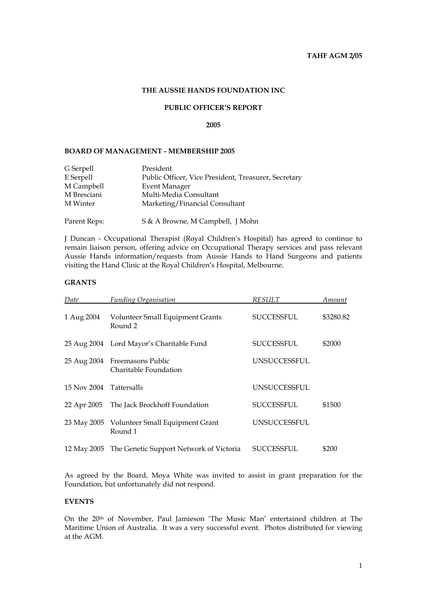# **THE AUSSIE HANDS FOUNDATION INC**

# **PUBLIC OFFICER'S REPORT**

### **2005**

#### **BOARD OF MANAGEMENT - MEMBERSHIP 2005**

| G Serpell    | President                                            |
|--------------|------------------------------------------------------|
| E Serpell    | Public Officer, Vice President, Treasurer, Secretary |
| M Campbell   | <b>Event Manager</b>                                 |
| M Bresciani  | Multi-Media Consultant                               |
| M Winter     | Marketing/Financial Consultant                       |
| Parent Reps: | S & A Browne, M Campbell, J Mohn                     |

J Duncan - Occupational Therapist (Royal Children's Hospital) has agreed to continue to remain liaison person, offering advice on Occupational Therapy services and pass relevant Aussie Hands information/requests from Aussie Hands to Hand Surgeons and patients visiting the Hand Clinic at the Royal Children's Hospital, Melbourne.

# **GRANTS**

| Date                    | <b>Funding Organisation</b>                            | <b>RESULT</b>       | Amount    |
|-------------------------|--------------------------------------------------------|---------------------|-----------|
| 1 Aug 2004              | <b>Volunteer Small Equipment Grants</b><br>Round 2     | <b>SUCCESSFUL</b>   | \$3280.82 |
|                         | 25 Aug 2004 Lord Mayor's Charitable Fund               | <b>SUCCESSFUL</b>   | \$2000    |
| 25 Aug 2004             | Freemasons Public<br>Charitable Foundation             | <b>UNSUCCESSFUL</b> |           |
| 15 Nov 2004 Tattersalls |                                                        | <b>UNSUCCESSFUL</b> |           |
| 22 Apr 2005             | The Jack Brockhoff Foundation                          | <b>SUCCESSFUL</b>   | \$1500    |
|                         | 23 May 2005 Volunteer Small Equipment Grant<br>Round 1 | <b>UNSUCCESSFUL</b> |           |
|                         | 12 May 2005 The Genetic Support Network of Victoria    | SUCCESSFUL          | \$200     |

As agreed by the Board, Moya White was invited to assist in grant preparation for the Foundation, but unfortunately did not respond.

### **EVENTS**

On the 20th of November, Paul Jamieson 'The Music Man' entertained children at The Maritime Union of Australia. It was a very successful event. Photos distributed for viewing at the AGM.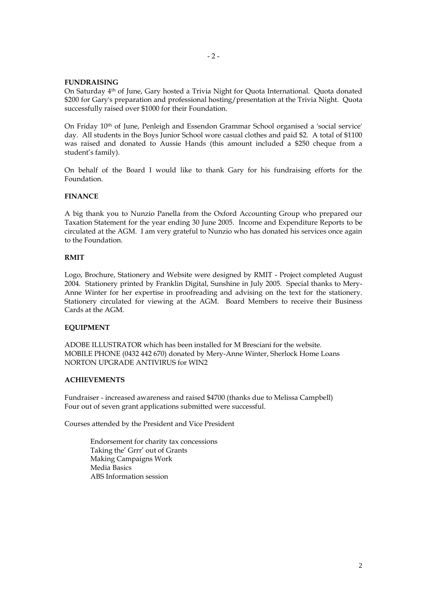### **FUNDRAISING**

On Saturday 4th of June, Gary hosted a Trivia Night for Quota International. Quota donated \$200 for Gary's preparation and professional hosting/presentation at the Trivia Night. Quota successfully raised over \$1000 for their Foundation.

On Friday 10th of June, Penleigh and Essendon Grammar School organised a 'social service' day. All students in the Boys Junior School wore casual clothes and paid \$2. A total of \$1100 was raised and donated to Aussie Hands (this amount included a \$250 cheque from a student's family).

On behalf of the Board I would like to thank Gary for his fundraising efforts for the Foundation.

# **FINANCE**

A big thank you to Nunzio Panella from the Oxford Accounting Group who prepared our Taxation Statement for the year ending 30 June 2005. Income and Expenditure Reports to be circulated at the AGM. I am very grateful to Nunzio who has donated his services once again to the Foundation.

### **RMIT**

Logo, Brochure, Stationery and Website were designed by RMIT - Project completed August 2004. Stationery printed by Franklin Digital, Sunshine in July 2005. Special thanks to Mery-Anne Winter for her expertise in proofreading and advising on the text for the stationery. Stationery circulated for viewing at the AGM. Board Members to receive their Business Cards at the AGM.

# **EQUIPMENT**

ADOBE ILLUSTRATOR which has been installed for M Bresciani for the website. MOBILE PHONE (0432 442 670) donated by Mery-Anne Winter, Sherlock Home Loans NORTON UPGRADE ANTIVIRUS for WIN2

#### **ACHIEVEMENTS**

Fundraiser - increased awareness and raised \$4700 (thanks due to Melissa Campbell) Four out of seven grant applications submitted were successful.

Courses attended by the President and Vice President

Endorsement for charity tax concessions Taking the' Grrr' out of Grants Making Campaigns Work Media Basics ABS Information session